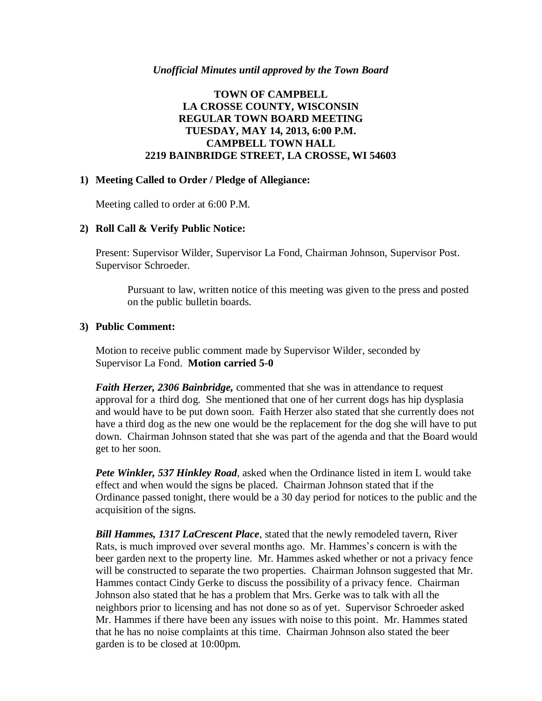# **TOWN OF CAMPBELL LA CROSSE COUNTY, WISCONSIN REGULAR TOWN BOARD MEETING TUESDAY, MAY 14, 2013, 6:00 P.M. CAMPBELL TOWN HALL 2219 BAINBRIDGE STREET, LA CROSSE, WI 54603**

### **1) Meeting Called to Order / Pledge of Allegiance:**

Meeting called to order at 6:00 P.M.

## **2) Roll Call & Verify Public Notice:**

Present: Supervisor Wilder, Supervisor La Fond, Chairman Johnson, Supervisor Post. Supervisor Schroeder.

Pursuant to law, written notice of this meeting was given to the press and posted on the public bulletin boards.

## **3) Public Comment:**

Motion to receive public comment made by Supervisor Wilder, seconded by Supervisor La Fond. **Motion carried 5-0**

*Faith Herzer, 2306 Bainbridge,* commented that she was in attendance to request approval for a third dog. She mentioned that one of her current dogs has hip dysplasia and would have to be put down soon. Faith Herzer also stated that she currently does not have a third dog as the new one would be the replacement for the dog she will have to put down. Chairman Johnson stated that she was part of the agenda and that the Board would get to her soon.

*Pete Winkler, 537 Hinkley Road*, asked when the Ordinance listed in item L would take effect and when would the signs be placed. Chairman Johnson stated that if the Ordinance passed tonight, there would be a 30 day period for notices to the public and the acquisition of the signs.

*Bill Hammes, 1317 LaCrescent Place*, stated that the newly remodeled tavern, River Rats, is much improved over several months ago. Mr. Hammes's concern is with the beer garden next to the property line. Mr. Hammes asked whether or not a privacy fence will be constructed to separate the two properties. Chairman Johnson suggested that Mr. Hammes contact Cindy Gerke to discuss the possibility of a privacy fence. Chairman Johnson also stated that he has a problem that Mrs. Gerke was to talk with all the neighbors prior to licensing and has not done so as of yet. Supervisor Schroeder asked Mr. Hammes if there have been any issues with noise to this point. Mr. Hammes stated that he has no noise complaints at this time. Chairman Johnson also stated the beer garden is to be closed at 10:00pm.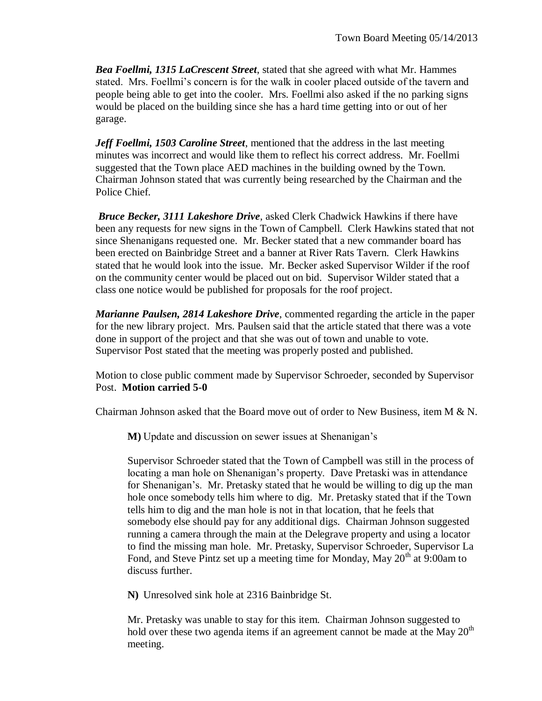*Bea Foellmi, 1315 LaCrescent Street*, stated that she agreed with what Mr. Hammes stated. Mrs. Foellmi's concern is for the walk in cooler placed outside of the tavern and people being able to get into the cooler. Mrs. Foellmi also asked if the no parking signs would be placed on the building since she has a hard time getting into or out of her garage.

*Jeff Foellmi, 1503 Caroline Street*, mentioned that the address in the last meeting minutes was incorrect and would like them to reflect his correct address. Mr. Foellmi suggested that the Town place AED machines in the building owned by the Town. Chairman Johnson stated that was currently being researched by the Chairman and the Police Chief.

*Bruce Becker, 3111 Lakeshore Drive*, asked Clerk Chadwick Hawkins if there have been any requests for new signs in the Town of Campbell. Clerk Hawkins stated that not since Shenanigans requested one. Mr. Becker stated that a new commander board has been erected on Bainbridge Street and a banner at River Rats Tavern. Clerk Hawkins stated that he would look into the issue. Mr. Becker asked Supervisor Wilder if the roof on the community center would be placed out on bid. Supervisor Wilder stated that a class one notice would be published for proposals for the roof project.

*Marianne Paulsen, 2814 Lakeshore Drive*, commented regarding the article in the paper for the new library project. Mrs. Paulsen said that the article stated that there was a vote done in support of the project and that she was out of town and unable to vote. Supervisor Post stated that the meeting was properly posted and published.

Motion to close public comment made by Supervisor Schroeder, seconded by Supervisor Post. **Motion carried 5-0**

Chairman Johnson asked that the Board move out of order to New Business, item  $M \& N$ .

**M)** Update and discussion on sewer issues at Shenanigan's

Supervisor Schroeder stated that the Town of Campbell was still in the process of locating a man hole on Shenanigan's property. Dave Pretaski was in attendance for Shenanigan's. Mr. Pretasky stated that he would be willing to dig up the man hole once somebody tells him where to dig. Mr. Pretasky stated that if the Town tells him to dig and the man hole is not in that location, that he feels that somebody else should pay for any additional digs. Chairman Johnson suggested running a camera through the main at the Delegrave property and using a locator to find the missing man hole. Mr. Pretasky, Supervisor Schroeder, Supervisor La Fond, and Steve Pintz set up a meeting time for Monday, May  $20<sup>th</sup>$  at 9:00am to discuss further.

**N)** Unresolved sink hole at 2316 Bainbridge St.

Mr. Pretasky was unable to stay for this item. Chairman Johnson suggested to hold over these two agenda items if an agreement cannot be made at the May  $20<sup>th</sup>$ meeting.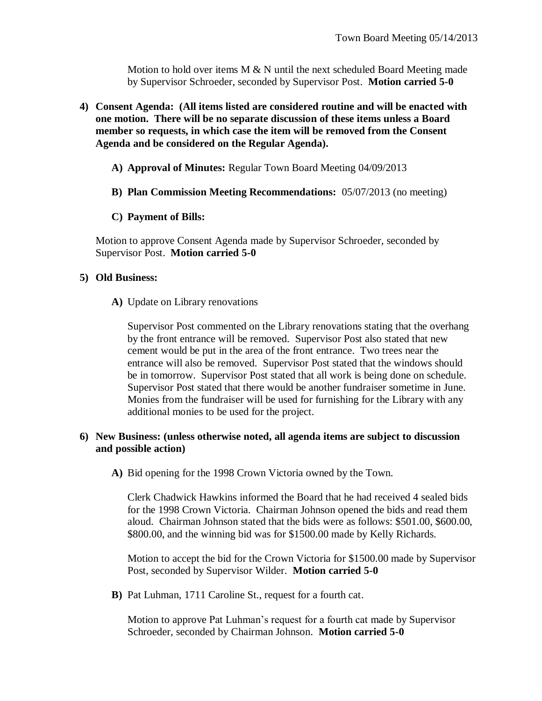Motion to hold over items  $M \& N$  until the next scheduled Board Meeting made by Supervisor Schroeder, seconded by Supervisor Post. **Motion carried 5-0**

- **4) Consent Agenda: (All items listed are considered routine and will be enacted with one motion. There will be no separate discussion of these items unless a Board member so requests, in which case the item will be removed from the Consent Agenda and be considered on the Regular Agenda).**
	- **A) Approval of Minutes:** Regular Town Board Meeting 04/09/2013
	- **B) Plan Commission Meeting Recommendations:** 05/07/2013 (no meeting)
	- **C) Payment of Bills:**

Motion to approve Consent Agenda made by Supervisor Schroeder, seconded by Supervisor Post. **Motion carried 5-0**

### **5) Old Business:**

**A)** Update on Library renovations

Supervisor Post commented on the Library renovations stating that the overhang by the front entrance will be removed. Supervisor Post also stated that new cement would be put in the area of the front entrance. Two trees near the entrance will also be removed. Supervisor Post stated that the windows should be in tomorrow. Supervisor Post stated that all work is being done on schedule. Supervisor Post stated that there would be another fundraiser sometime in June. Monies from the fundraiser will be used for furnishing for the Library with any additional monies to be used for the project.

## **6) New Business: (unless otherwise noted, all agenda items are subject to discussion and possible action)**

**A)** Bid opening for the 1998 Crown Victoria owned by the Town.

Clerk Chadwick Hawkins informed the Board that he had received 4 sealed bids for the 1998 Crown Victoria. Chairman Johnson opened the bids and read them aloud. Chairman Johnson stated that the bids were as follows: \$501.00, \$600.00, \$800.00, and the winning bid was for \$1500.00 made by Kelly Richards.

Motion to accept the bid for the Crown Victoria for \$1500.00 made by Supervisor Post, seconded by Supervisor Wilder. **Motion carried 5-0**

**B)** Pat Luhman, 1711 Caroline St., request for a fourth cat.

Motion to approve Pat Luhman's request for a fourth cat made by Supervisor Schroeder, seconded by Chairman Johnson. **Motion carried 5-0**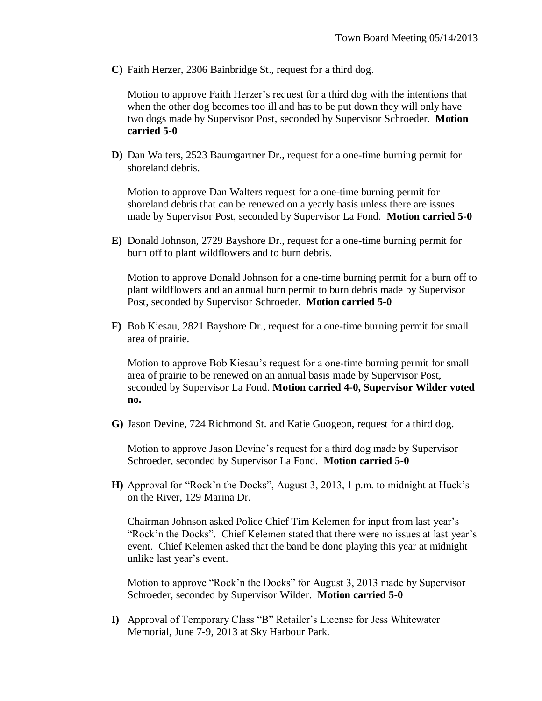**C)** Faith Herzer, 2306 Bainbridge St., request for a third dog.

Motion to approve Faith Herzer's request for a third dog with the intentions that when the other dog becomes too ill and has to be put down they will only have two dogs made by Supervisor Post, seconded by Supervisor Schroeder. **Motion carried 5-0**

**D)** Dan Walters, 2523 Baumgartner Dr., request for a one-time burning permit for shoreland debris.

Motion to approve Dan Walters request for a one-time burning permit for shoreland debris that can be renewed on a yearly basis unless there are issues made by Supervisor Post, seconded by Supervisor La Fond. **Motion carried 5-0**

**E)** Donald Johnson, 2729 Bayshore Dr., request for a one-time burning permit for burn off to plant wildflowers and to burn debris.

Motion to approve Donald Johnson for a one-time burning permit for a burn off to plant wildflowers and an annual burn permit to burn debris made by Supervisor Post, seconded by Supervisor Schroeder. **Motion carried 5-0**

**F)** Bob Kiesau, 2821 Bayshore Dr., request for a one-time burning permit for small area of prairie.

Motion to approve Bob Kiesau's request for a one-time burning permit for small area of prairie to be renewed on an annual basis made by Supervisor Post, seconded by Supervisor La Fond. **Motion carried 4-0, Supervisor Wilder voted no.**

**G)** Jason Devine, 724 Richmond St. and Katie Guogeon, request for a third dog.

Motion to approve Jason Devine's request for a third dog made by Supervisor Schroeder, seconded by Supervisor La Fond. **Motion carried 5-0**

**H)** Approval for "Rock'n the Docks", August 3, 2013, 1 p.m. to midnight at Huck's on the River, 129 Marina Dr.

Chairman Johnson asked Police Chief Tim Kelemen for input from last year's "Rock'n the Docks". Chief Kelemen stated that there were no issues at last year's event. Chief Kelemen asked that the band be done playing this year at midnight unlike last year's event.

Motion to approve "Rock'n the Docks" for August 3, 2013 made by Supervisor Schroeder, seconded by Supervisor Wilder. **Motion carried 5-0**

**I)** Approval of Temporary Class "B" Retailer's License for Jess Whitewater Memorial, June 7-9, 2013 at Sky Harbour Park.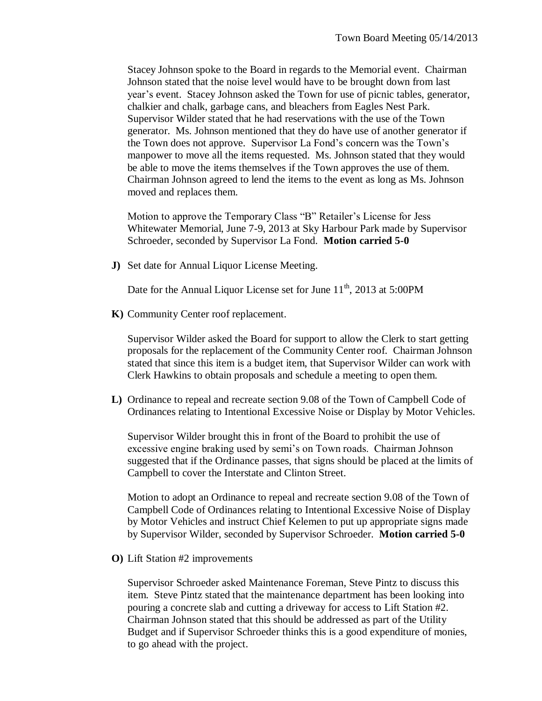Stacey Johnson spoke to the Board in regards to the Memorial event. Chairman Johnson stated that the noise level would have to be brought down from last year's event. Stacey Johnson asked the Town for use of picnic tables, generator, chalkier and chalk, garbage cans, and bleachers from Eagles Nest Park. Supervisor Wilder stated that he had reservations with the use of the Town generator. Ms. Johnson mentioned that they do have use of another generator if the Town does not approve. Supervisor La Fond's concern was the Town's manpower to move all the items requested. Ms. Johnson stated that they would be able to move the items themselves if the Town approves the use of them. Chairman Johnson agreed to lend the items to the event as long as Ms. Johnson moved and replaces them.

Motion to approve the Temporary Class "B" Retailer's License for Jess Whitewater Memorial, June 7-9, 2013 at Sky Harbour Park made by Supervisor Schroeder, seconded by Supervisor La Fond. **Motion carried 5-0**

**J)** Set date for Annual Liquor License Meeting.

Date for the Annual Liquor License set for June  $11<sup>th</sup>$ , 2013 at 5:00PM

**K)** Community Center roof replacement.

Supervisor Wilder asked the Board for support to allow the Clerk to start getting proposals for the replacement of the Community Center roof. Chairman Johnson stated that since this item is a budget item, that Supervisor Wilder can work with Clerk Hawkins to obtain proposals and schedule a meeting to open them.

**L)** Ordinance to repeal and recreate section 9.08 of the Town of Campbell Code of Ordinances relating to Intentional Excessive Noise or Display by Motor Vehicles.

Supervisor Wilder brought this in front of the Board to prohibit the use of excessive engine braking used by semi's on Town roads. Chairman Johnson suggested that if the Ordinance passes, that signs should be placed at the limits of Campbell to cover the Interstate and Clinton Street.

Motion to adopt an Ordinance to repeal and recreate section 9.08 of the Town of Campbell Code of Ordinances relating to Intentional Excessive Noise of Display by Motor Vehicles and instruct Chief Kelemen to put up appropriate signs made by Supervisor Wilder, seconded by Supervisor Schroeder. **Motion carried 5-0**

**O)** Lift Station #2 improvements

Supervisor Schroeder asked Maintenance Foreman, Steve Pintz to discuss this item. Steve Pintz stated that the maintenance department has been looking into pouring a concrete slab and cutting a driveway for access to Lift Station #2. Chairman Johnson stated that this should be addressed as part of the Utility Budget and if Supervisor Schroeder thinks this is a good expenditure of monies, to go ahead with the project.